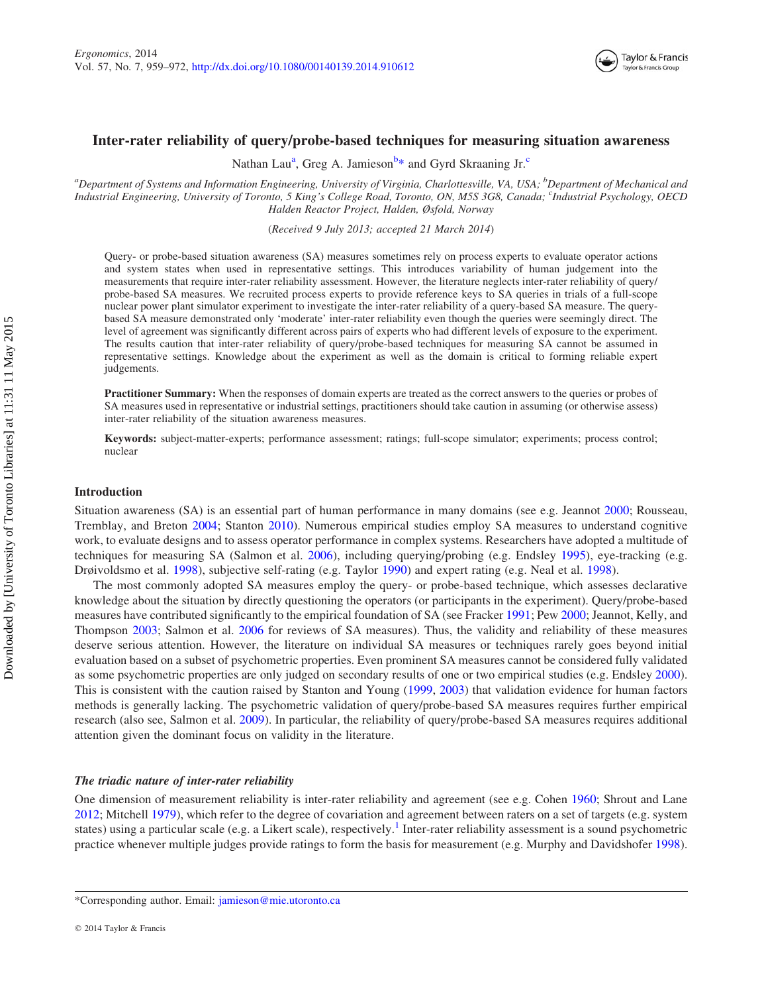

Nathan Lau<sup>a</sup>, Greg A. Jamieson<sup>b</sup>\* and Gyrd Skraaning Jr.<sup>c</sup>

<sup>a</sup>Department of Systems and Information Engineering, University of Virginia, Charlottesville, VA, USA; <sup>b</sup>Department of Mechanical and Industrial Engineering, University of Toronto, 5 King's College Road, Toronto, ON, M5S 3G8, Canada; <sup>c</sup>Industrial Psychology, OECD Halden Reactor Project, Halden, Øsfold, Norway

(Received 9 July 2013; accepted 21 March 2014)

Query- or probe-based situation awareness (SA) measures sometimes rely on process experts to evaluate operator actions and system states when used in representative settings. This introduces variability of human judgement into the measurements that require inter-rater reliability assessment. However, the literature neglects inter-rater reliability of query/ probe-based SA measures. We recruited process experts to provide reference keys to SA queries in trials of a full-scope nuclear power plant simulator experiment to investigate the inter-rater reliability of a query-based SA measure. The querybased SA measure demonstrated only 'moderate' inter-rater reliability even though the queries were seemingly direct. The level of agreement was significantly different across pairs of experts who had different levels of exposure to the experiment. The results caution that inter-rater reliability of query/probe-based techniques for measuring SA cannot be assumed in representative settings. Knowledge about the experiment as well as the domain is critical to forming reliable expert judgements.

Practitioner Summary: When the responses of domain experts are treated as the correct answers to the queries or probes of SA measures used in representative or industrial settings, practitioners should take caution in assuming (or otherwise assess) inter-rater reliability of the situation awareness measures.

Keywords: subject-matter-experts; performance assessment; ratings; full-scope simulator; experiments; process control; nuclear

# Introduction

Situation awareness (SA) is an essential part of human performance in many domains (see e.g. Jeannot 2000; Rousseau, Tremblay, and Breton 2004; Stanton 2010). Numerous empirical studies employ SA measures to understand cognitive work, to evaluate designs and to assess operator performance in complex systems. Researchers have adopted a multitude of techniques for measuring SA (Salmon et al. 2006), including querying/probing (e.g. Endsley 1995), eye-tracking (e.g. Drøivoldsmo et al. 1998), subjective self-rating (e.g. Taylor 1990) and expert rating (e.g. Neal et al. 1998).

The most commonly adopted SA measures employ the query- or probe-based technique, which assesses declarative knowledge about the situation by directly questioning the operators (or participants in the experiment). Query/probe-based measures have contributed significantly to the empirical foundation of SA (see Fracker 1991; Pew 2000; Jeannot, Kelly, and Thompson 2003; Salmon et al. 2006 for reviews of SA measures). Thus, the validity and reliability of these measures deserve serious attention. However, the literature on individual SA measures or techniques rarely goes beyond initial evaluation based on a subset of psychometric properties. Even prominent SA measures cannot be considered fully validated as some psychometric properties are only judged on secondary results of one or two empirical studies (e.g. Endsley 2000). This is consistent with the caution raised by Stanton and Young (1999, 2003) that validation evidence for human factors methods is generally lacking. The psychometric validation of query/probe-based SA measures requires further empirical research (also see, Salmon et al. 2009). In particular, the reliability of query/probe-based SA measures requires additional attention given the dominant focus on validity in the literature.

### The triadic nature of inter-rater reliability

One dimension of measurement reliability is inter-rater reliability and agreement (see e.g. Cohen 1960; Shrout and Lane 2012; Mitchell 1979), which refer to the degree of covariation and agreement between raters on a set of targets (e.g. system states) using a particular scale (e.g. a Likert scale), respectively.<sup>1</sup> Inter-rater reliability assessment is a sound psychometric practice whenever multiple judges provide ratings to form the basis for measurement (e.g. Murphy and Davidshofer 1998).



<sup>\*</sup>Corresponding author. Email: jamieson@mie.utoronto.ca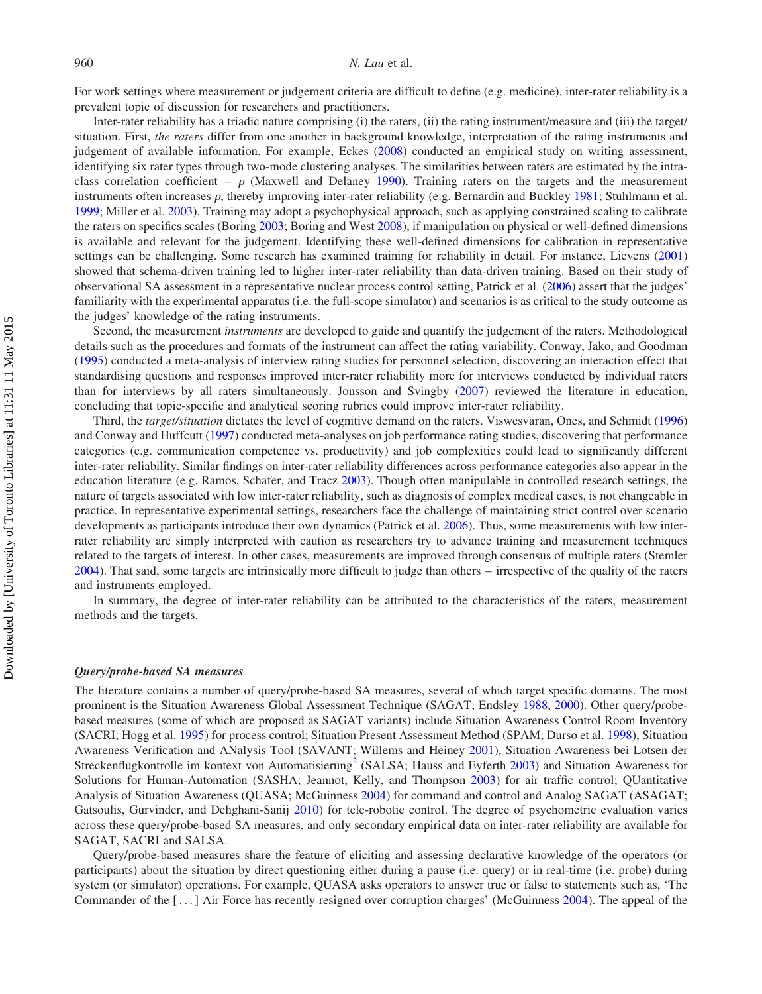For work settings where measurement or judgement criteria are difficult to define (e.g. medicine), inter-rater reliability is a prevalent topic of discussion for researchers and practitioners.

Inter-rater reliability has a triadic nature comprising (i) the raters, (ii) the rating instrument/measure and (iii) the target/ situation. First, the raters differ from one another in background knowledge, interpretation of the rating instruments and judgement of available information. For example, Eckes (2008) conducted an empirical study on writing assessment, identifying six rater types through two-mode clustering analyses. The similarities between raters are estimated by the intraclass correlation coefficient –  $\rho$  (Maxwell and Delaney 1990). Training raters on the targets and the measurement instruments often increases  $\rho$ , thereby improving inter-rater reliability (e.g. Bernardin and Buckley 1981; Stuhlmann et al. 1999; Miller et al. 2003). Training may adopt a psychophysical approach, such as applying constrained scaling to calibrate the raters on specifics scales (Boring 2003; Boring and West 2008), if manipulation on physical or well-defined dimensions is available and relevant for the judgement. Identifying these well-defined dimensions for calibration in representative settings can be challenging. Some research has examined training for reliability in detail. For instance, Lievens (2001) showed that schema-driven training led to higher inter-rater reliability than data-driven training. Based on their study of observational SA assessment in a representative nuclear process control setting, Patrick et al. (2006) assert that the judges' familiarity with the experimental apparatus (i.e. the full-scope simulator) and scenarios is as critical to the study outcome as the judges' knowledge of the rating instruments.

Second, the measurement *instruments* are developed to guide and quantify the judgement of the raters. Methodological details such as the procedures and formats of the instrument can affect the rating variability. Conway, Jako, and Goodman (1995) conducted a meta-analysis of interview rating studies for personnel selection, discovering an interaction effect that standardising questions and responses improved inter-rater reliability more for interviews conducted by individual raters than for interviews by all raters simultaneously. Jonsson and Svingby (2007) reviewed the literature in education, concluding that topic-specific and analytical scoring rubrics could improve inter-rater reliability.

Third, the target/situation dictates the level of cognitive demand on the raters. Viswesvaran, Ones, and Schmidt (1996) and Conway and Huffcutt (1997) conducted meta-analyses on job performance rating studies, discovering that performance categories (e.g. communication competence vs. productivity) and job complexities could lead to significantly different inter-rater reliability. Similar findings on inter-rater reliability differences across performance categories also appear in the education literature (e.g. Ramos, Schafer, and Tracz 2003). Though often manipulable in controlled research settings, the nature of targets associated with low inter-rater reliability, such as diagnosis of complex medical cases, is not changeable in practice. In representative experimental settings, researchers face the challenge of maintaining strict control over scenario developments as participants introduce their own dynamics (Patrick et al. 2006). Thus, some measurements with low interrater reliability are simply interpreted with caution as researchers try to advance training and measurement techniques related to the targets of interest. In other cases, measurements are improved through consensus of multiple raters (Stemler 2004). That said, some targets are intrinsically more difficult to judge than others – irrespective of the quality of the raters and instruments employed.

In summary, the degree of inter-rater reliability can be attributed to the characteristics of the raters, measurement methods and the targets.

#### Query/probe-based SA measures

The literature contains a number of query/probe-based SA measures, several of which target specific domains. The most prominent is the Situation Awareness Global Assessment Technique (SAGAT; Endsley 1988, 2000). Other query/probebased measures (some of which are proposed as SAGAT variants) include Situation Awareness Control Room Inventory (SACRI; Hogg et al. 1995) for process control; Situation Present Assessment Method (SPAM; Durso et al. 1998), Situation Awareness Verification and ANalysis Tool (SAVANT; Willems and Heiney 2001), Situation Awareness bei Lotsen der Streckenflugkontrolle im kontext von Automatisierung<sup>2</sup> (SALSA; Hauss and Eyferth 2003) and Situation Awareness for Solutions for Human-Automation (SASHA; Jeannot, Kelly, and Thompson 2003) for air traffic control; QUantitative Analysis of Situation Awareness (QUASA; McGuinness 2004) for command and control and Analog SAGAT (ASAGAT; Gatsoulis, Gurvinder, and Dehghani-Sanij 2010) for tele-robotic control. The degree of psychometric evaluation varies across these query/probe-based SA measures, and only secondary empirical data on inter-rater reliability are available for SAGAT, SACRI and SALSA.

Query/probe-based measures share the feature of eliciting and assessing declarative knowledge of the operators (or participants) about the situation by direct questioning either during a pause (i.e. query) or in real-time (i.e. probe) during system (or simulator) operations. For example, QUASA asks operators to answer true or false to statements such as, 'The Commander of the [ ... ] Air Force has recently resigned over corruption charges' (McGuinness 2004). The appeal of the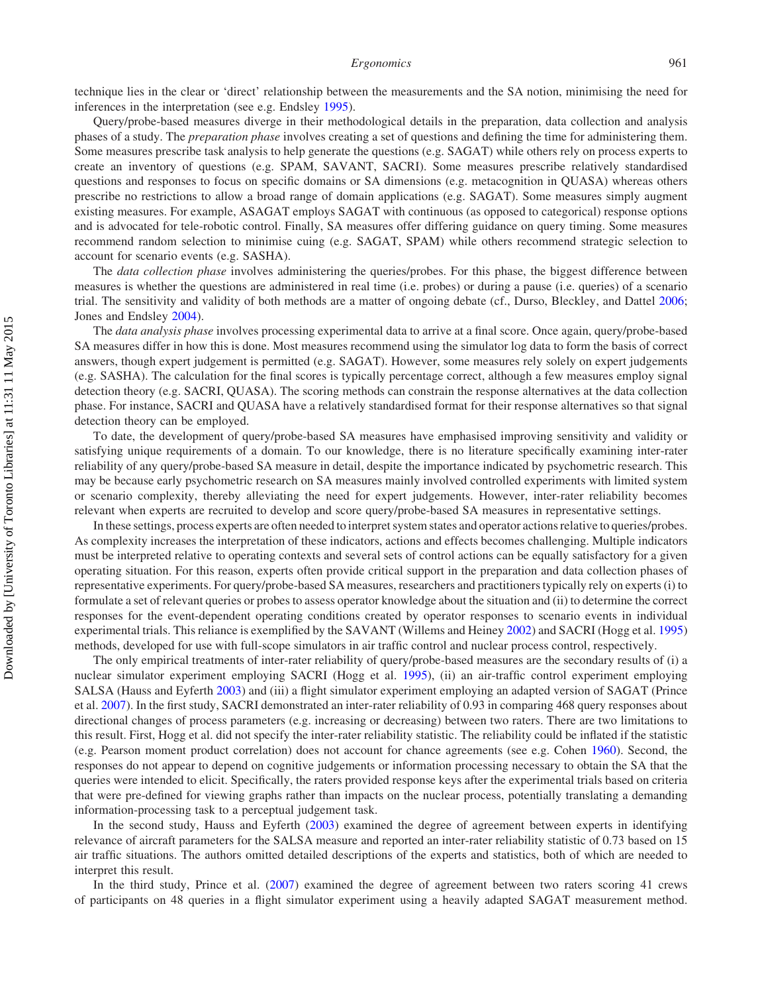### Ergonomics 961

technique lies in the clear or 'direct' relationship between the measurements and the SA notion, minimising the need for inferences in the interpretation (see e.g. Endsley 1995).

Query/probe-based measures diverge in their methodological details in the preparation, data collection and analysis phases of a study. The preparation phase involves creating a set of questions and defining the time for administering them. Some measures prescribe task analysis to help generate the questions (e.g. SAGAT) while others rely on process experts to create an inventory of questions (e.g. SPAM, SAVANT, SACRI). Some measures prescribe relatively standardised questions and responses to focus on specific domains or SA dimensions (e.g. metacognition in QUASA) whereas others prescribe no restrictions to allow a broad range of domain applications (e.g. SAGAT). Some measures simply augment existing measures. For example, ASAGAT employs SAGAT with continuous (as opposed to categorical) response options and is advocated for tele-robotic control. Finally, SA measures offer differing guidance on query timing. Some measures recommend random selection to minimise cuing (e.g. SAGAT, SPAM) while others recommend strategic selection to account for scenario events (e.g. SASHA).

The *data collection phase* involves administering the queries/probes. For this phase, the biggest difference between measures is whether the questions are administered in real time (i.e. probes) or during a pause (i.e. queries) of a scenario trial. The sensitivity and validity of both methods are a matter of ongoing debate (cf., Durso, Bleckley, and Dattel 2006; Jones and Endsley 2004).

The *data analysis phase* involves processing experimental data to arrive at a final score. Once again, query/probe-based SA measures differ in how this is done. Most measures recommend using the simulator log data to form the basis of correct answers, though expert judgement is permitted (e.g. SAGAT). However, some measures rely solely on expert judgements (e.g. SASHA). The calculation for the final scores is typically percentage correct, although a few measures employ signal detection theory (e.g. SACRI, QUASA). The scoring methods can constrain the response alternatives at the data collection phase. For instance, SACRI and QUASA have a relatively standardised format for their response alternatives so that signal detection theory can be employed.

To date, the development of query/probe-based SA measures have emphasised improving sensitivity and validity or satisfying unique requirements of a domain. To our knowledge, there is no literature specifically examining inter-rater reliability of any query/probe-based SA measure in detail, despite the importance indicated by psychometric research. This may be because early psychometric research on SA measures mainly involved controlled experiments with limited system or scenario complexity, thereby alleviating the need for expert judgements. However, inter-rater reliability becomes relevant when experts are recruited to develop and score query/probe-based SA measures in representative settings.

In these settings, process experts are often needed to interpret system states and operator actions relative to queries/probes. As complexity increases the interpretation of these indicators, actions and effects becomes challenging. Multiple indicators must be interpreted relative to operating contexts and several sets of control actions can be equally satisfactory for a given operating situation. For this reason, experts often provide critical support in the preparation and data collection phases of representative experiments. For query/probe-based SA measures, researchers and practitioners typically rely on experts (i) to formulate a set of relevant queries or probes to assess operator knowledge about the situation and (ii) to determine the correct responses for the event-dependent operating conditions created by operator responses to scenario events in individual experimental trials. This reliance is exemplified by the SAVANT (Willems and Heiney 2002) and SACRI (Hogg et al. 1995) methods, developed for use with full-scope simulators in air traffic control and nuclear process control, respectively.

The only empirical treatments of inter-rater reliability of query/probe-based measures are the secondary results of (i) a nuclear simulator experiment employing SACRI (Hogg et al. 1995), (ii) an air-traffic control experiment employing SALSA (Hauss and Eyferth 2003) and (iii) a flight simulator experiment employing an adapted version of SAGAT (Prince et al. 2007). In the first study, SACRI demonstrated an inter-rater reliability of 0.93 in comparing 468 query responses about directional changes of process parameters (e.g. increasing or decreasing) between two raters. There are two limitations to this result. First, Hogg et al. did not specify the inter-rater reliability statistic. The reliability could be inflated if the statistic (e.g. Pearson moment product correlation) does not account for chance agreements (see e.g. Cohen 1960). Second, the responses do not appear to depend on cognitive judgements or information processing necessary to obtain the SA that the queries were intended to elicit. Specifically, the raters provided response keys after the experimental trials based on criteria that were pre-defined for viewing graphs rather than impacts on the nuclear process, potentially translating a demanding information-processing task to a perceptual judgement task.

In the second study, Hauss and Eyferth (2003) examined the degree of agreement between experts in identifying relevance of aircraft parameters for the SALSA measure and reported an inter-rater reliability statistic of 0.73 based on 15 air traffic situations. The authors omitted detailed descriptions of the experts and statistics, both of which are needed to interpret this result.

In the third study, Prince et al. (2007) examined the degree of agreement between two raters scoring 41 crews of participants on 48 queries in a flight simulator experiment using a heavily adapted SAGAT measurement method.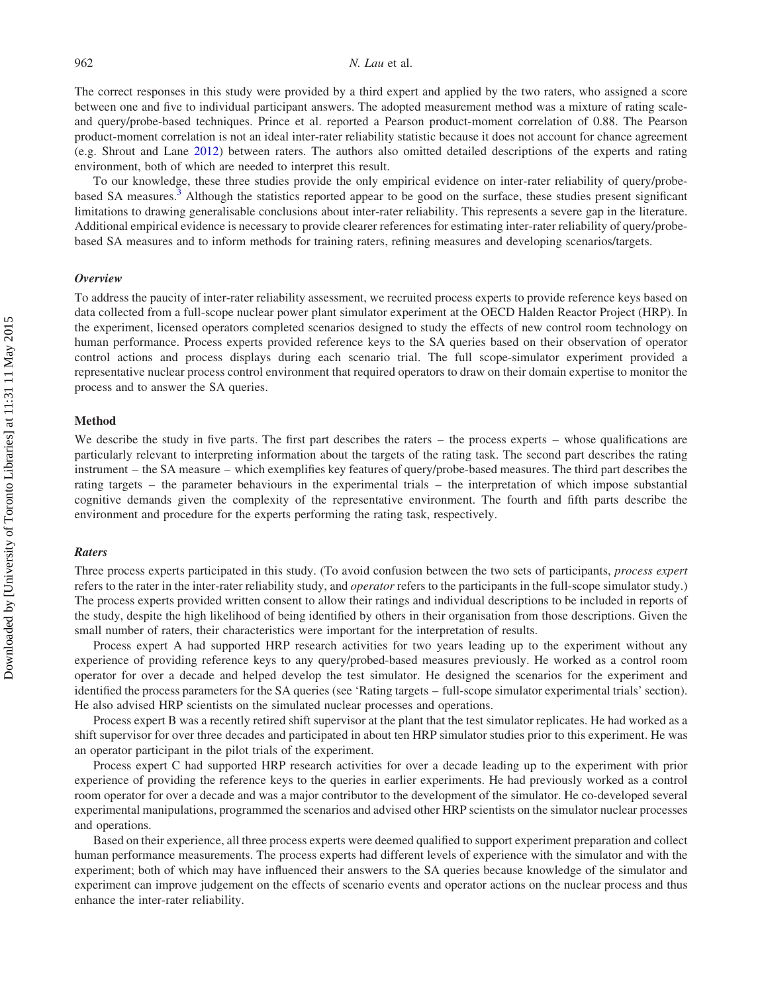## 962 *N. Lau* et al.

The correct responses in this study were provided by a third expert and applied by the two raters, who assigned a score between one and five to individual participant answers. The adopted measurement method was a mixture of rating scaleand query/probe-based techniques. Prince et al. reported a Pearson product-moment correlation of 0.88. The Pearson product-moment correlation is not an ideal inter-rater reliability statistic because it does not account for chance agreement (e.g. Shrout and Lane 2012) between raters. The authors also omitted detailed descriptions of the experts and rating environment, both of which are needed to interpret this result.

To our knowledge, these three studies provide the only empirical evidence on inter-rater reliability of query/probebased SA measures.<sup>3</sup> Although the statistics reported appear to be good on the surface, these studies present significant limitations to drawing generalisable conclusions about inter-rater reliability. This represents a severe gap in the literature. Additional empirical evidence is necessary to provide clearer references for estimating inter-rater reliability of query/probebased SA measures and to inform methods for training raters, refining measures and developing scenarios/targets.

## Overview

To address the paucity of inter-rater reliability assessment, we recruited process experts to provide reference keys based on data collected from a full-scope nuclear power plant simulator experiment at the OECD Halden Reactor Project (HRP). In the experiment, licensed operators completed scenarios designed to study the effects of new control room technology on human performance. Process experts provided reference keys to the SA queries based on their observation of operator control actions and process displays during each scenario trial. The full scope-simulator experiment provided a representative nuclear process control environment that required operators to draw on their domain expertise to monitor the process and to answer the SA queries.

## Method

We describe the study in five parts. The first part describes the raters – the process experts – whose qualifications are particularly relevant to interpreting information about the targets of the rating task. The second part describes the rating instrument – the SA measure – which exemplifies key features of query/probe-based measures. The third part describes the rating targets – the parameter behaviours in the experimental trials – the interpretation of which impose substantial cognitive demands given the complexity of the representative environment. The fourth and fifth parts describe the environment and procedure for the experts performing the rating task, respectively.

### Raters

Three process experts participated in this study. (To avoid confusion between the two sets of participants, process expert refers to the rater in the inter-rater reliability study, and operator refers to the participants in the full-scope simulator study.) The process experts provided written consent to allow their ratings and individual descriptions to be included in reports of the study, despite the high likelihood of being identified by others in their organisation from those descriptions. Given the small number of raters, their characteristics were important for the interpretation of results.

Process expert A had supported HRP research activities for two years leading up to the experiment without any experience of providing reference keys to any query/probed-based measures previously. He worked as a control room operator for over a decade and helped develop the test simulator. He designed the scenarios for the experiment and identified the process parameters for the SA queries (see 'Rating targets – full-scope simulator experimental trials' section). He also advised HRP scientists on the simulated nuclear processes and operations.

Process expert B was a recently retired shift supervisor at the plant that the test simulator replicates. He had worked as a shift supervisor for over three decades and participated in about ten HRP simulator studies prior to this experiment. He was an operator participant in the pilot trials of the experiment.

Process expert C had supported HRP research activities for over a decade leading up to the experiment with prior experience of providing the reference keys to the queries in earlier experiments. He had previously worked as a control room operator for over a decade and was a major contributor to the development of the simulator. He co-developed several experimental manipulations, programmed the scenarios and advised other HRP scientists on the simulator nuclear processes and operations.

Based on their experience, all three process experts were deemed qualified to support experiment preparation and collect human performance measurements. The process experts had different levels of experience with the simulator and with the experiment; both of which may have influenced their answers to the SA queries because knowledge of the simulator and experiment can improve judgement on the effects of scenario events and operator actions on the nuclear process and thus enhance the inter-rater reliability.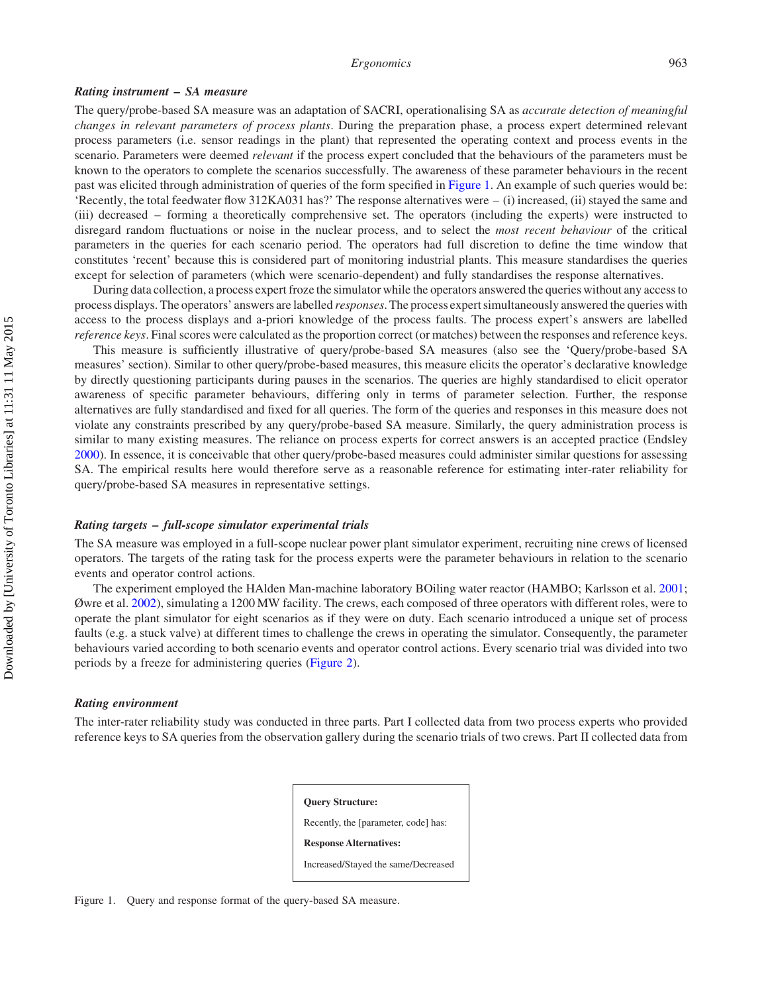#### Rating instrument – SA measure

The query/probe-based SA measure was an adaptation of SACRI, operationalising SA as *accurate detection of meaningful* changes in relevant parameters of process plants. During the preparation phase, a process expert determined relevant process parameters (i.e. sensor readings in the plant) that represented the operating context and process events in the scenario. Parameters were deemed *relevant* if the process expert concluded that the behaviours of the parameters must be known to the operators to complete the scenarios successfully. The awareness of these parameter behaviours in the recent past was elicited through administration of queries of the form specified in Figure 1. An example of such queries would be: 'Recently, the total feedwater flow 312KA031 has?' The response alternatives were – (i) increased, (ii) stayed the same and (iii) decreased – forming a theoretically comprehensive set. The operators (including the experts) were instructed to disregard random fluctuations or noise in the nuclear process, and to select the *most recent behaviour* of the critical parameters in the queries for each scenario period. The operators had full discretion to define the time window that constitutes 'recent' because this is considered part of monitoring industrial plants. This measure standardises the queries except for selection of parameters (which were scenario-dependent) and fully standardises the response alternatives.

During data collection, a process expert froze the simulator while the operators answered the queries without any access to process displays. The operators' answers are labelled responses. The process expert simultaneously answered the queries with access to the process displays and a-priori knowledge of the process faults. The process expert's answers are labelled reference keys. Final scores were calculated as the proportion correct (or matches) between the responses and reference keys.

This measure is sufficiently illustrative of query/probe-based SA measures (also see the 'Query/probe-based SA measures' section). Similar to other query/probe-based measures, this measure elicits the operator's declarative knowledge by directly questioning participants during pauses in the scenarios. The queries are highly standardised to elicit operator awareness of specific parameter behaviours, differing only in terms of parameter selection. Further, the response alternatives are fully standardised and fixed for all queries. The form of the queries and responses in this measure does not violate any constraints prescribed by any query/probe-based SA measure. Similarly, the query administration process is similar to many existing measures. The reliance on process experts for correct answers is an accepted practice (Endsley 2000). In essence, it is conceivable that other query/probe-based measures could administer similar questions for assessing SA. The empirical results here would therefore serve as a reasonable reference for estimating inter-rater reliability for query/probe-based SA measures in representative settings.

### Rating targets – full-scope simulator experimental trials

The SA measure was employed in a full-scope nuclear power plant simulator experiment, recruiting nine crews of licensed operators. The targets of the rating task for the process experts were the parameter behaviours in relation to the scenario events and operator control actions.

The experiment employed the HAlden Man-machine laboratory BOiling water reactor (HAMBO; Karlsson et al. 2001; Øwre et al. 2002), simulating a 1200 MW facility. The crews, each composed of three operators with different roles, were to operate the plant simulator for eight scenarios as if they were on duty. Each scenario introduced a unique set of process faults (e.g. a stuck valve) at different times to challenge the crews in operating the simulator. Consequently, the parameter behaviours varied according to both scenario events and operator control actions. Every scenario trial was divided into two periods by a freeze for administering queries (Figure 2).

## Rating environment

The inter-rater reliability study was conducted in three parts. Part I collected data from two process experts who provided reference keys to SA queries from the observation gallery during the scenario trials of two crews. Part II collected data from

**Query Structure:**

Recently, the [parameter, code] has:

**Response Alternatives:**

Increased/Stayed the same/Decreased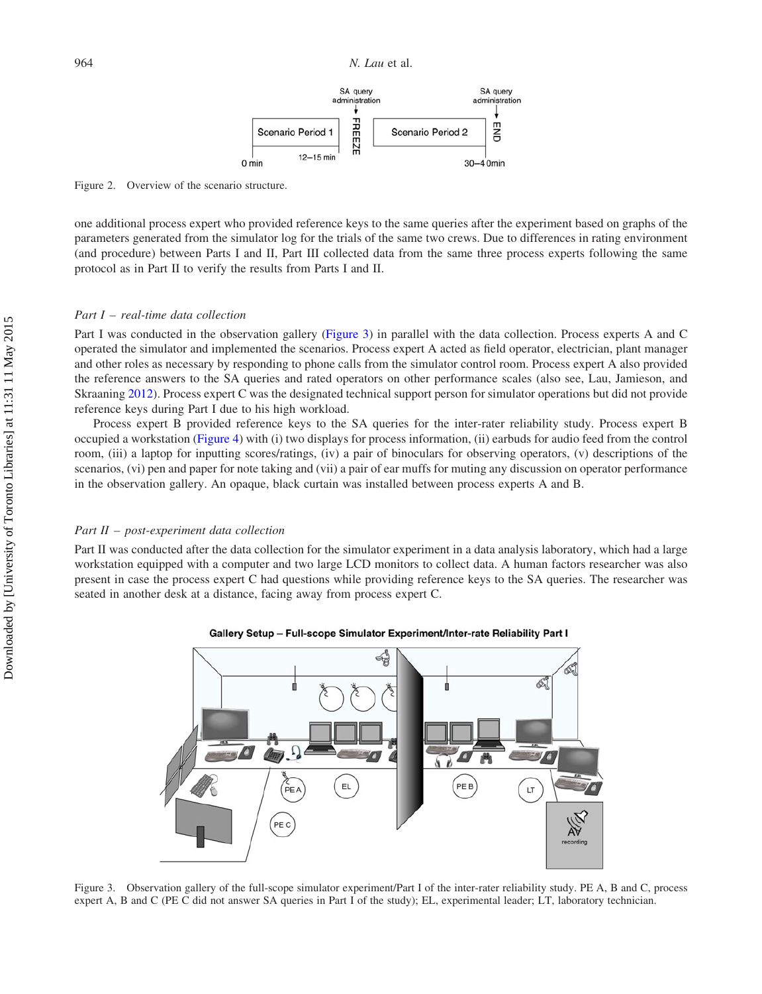

Figure 2. Overview of the scenario structure.

one additional process expert who provided reference keys to the same queries after the experiment based on graphs of the parameters generated from the simulator log for the trials of the same two crews. Due to differences in rating environment (and procedure) between Parts I and II, Part III collected data from the same three process experts following the same protocol as in Part II to verify the results from Parts I and II.

## $Part I - real-time data collection$

Part I was conducted in the observation gallery (Figure 3) in parallel with the data collection. Process experts A and C operated the simulator and implemented the scenarios. Process expert A acted as field operator, electrician, plant manager and other roles as necessary by responding to phone calls from the simulator control room. Process expert A also provided the reference answers to the SA queries and rated operators on other performance scales (also see, Lau, Jamieson, and Skraaning 2012). Process expert C was the designated technical support person for simulator operations but did not provide reference keys during Part I due to his high workload.

Process expert B provided reference keys to the SA queries for the inter-rater reliability study. Process expert B occupied a workstation (Figure 4) with (i) two displays for process information, (ii) earbuds for audio feed from the control room, (iii) a laptop for inputting scores/ratings, (iv) a pair of binoculars for observing operators, (v) descriptions of the scenarios, (vi) pen and paper for note taking and (vii) a pair of ear muffs for muting any discussion on operator performance in the observation gallery. An opaque, black curtain was installed between process experts A and B.

### Part II – post-experiment data collection

Part II was conducted after the data collection for the simulator experiment in a data analysis laboratory, which had a large workstation equipped with a computer and two large LCD monitors to collect data. A human factors researcher was also present in case the process expert C had questions while providing reference keys to the SA queries. The researcher was seated in another desk at a distance, facing away from process expert C.



Gallery Setup - Full-scope Simulator Experiment/Inter-rate Reliability Part I

Figure 3. Observation gallery of the full-scope simulator experiment/Part I of the inter-rater reliability study. PE A, B and C, process expert A, B and C (PE C did not answer SA queries in Part I of the study); EL, experimental leader; LT, laboratory technician.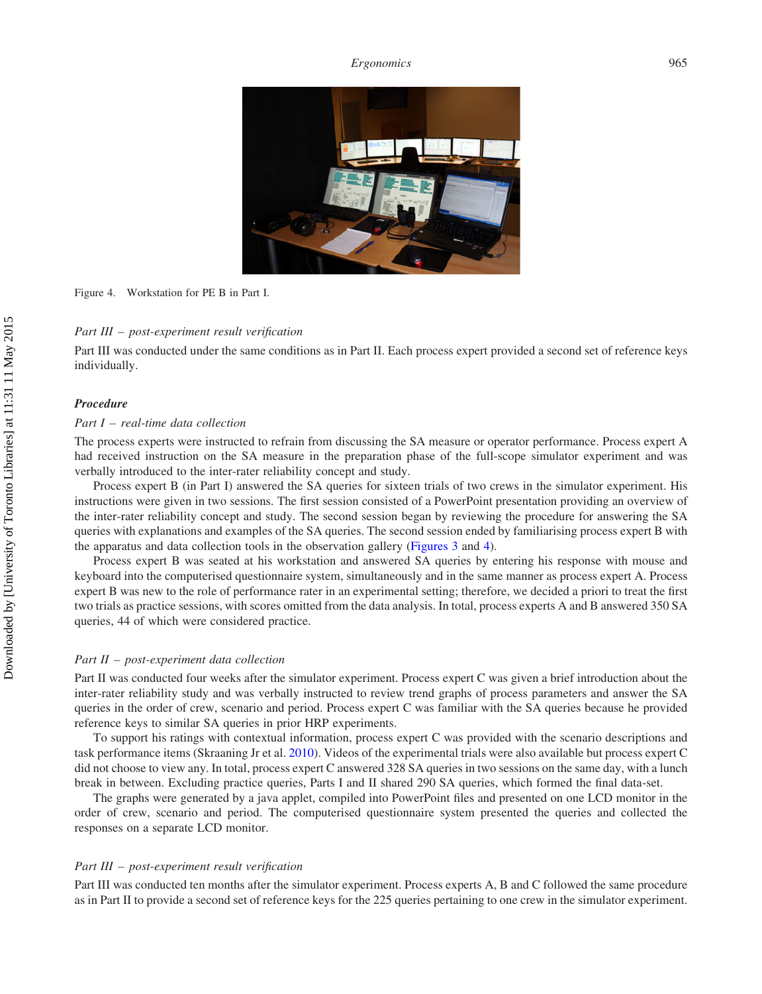

Figure 4. Workstation for PE B in Part I.

## Part III – post-experiment result verification

Part III was conducted under the same conditions as in Part II. Each process expert provided a second set of reference keys individually.

## Procedure

## Part  $I$  – real-time data collection

The process experts were instructed to refrain from discussing the SA measure or operator performance. Process expert A had received instruction on the SA measure in the preparation phase of the full-scope simulator experiment and was verbally introduced to the inter-rater reliability concept and study.

Process expert B (in Part I) answered the SA queries for sixteen trials of two crews in the simulator experiment. His instructions were given in two sessions. The first session consisted of a PowerPoint presentation providing an overview of the inter-rater reliability concept and study. The second session began by reviewing the procedure for answering the SA queries with explanations and examples of the SA queries. The second session ended by familiarising process expert B with the apparatus and data collection tools in the observation gallery (Figures 3 and 4).

Process expert B was seated at his workstation and answered SA queries by entering his response with mouse and keyboard into the computerised questionnaire system, simultaneously and in the same manner as process expert A. Process expert B was new to the role of performance rater in an experimental setting; therefore, we decided a priori to treat the first two trials as practice sessions, with scores omitted from the data analysis. In total, process experts A and B answered 350 SA queries, 44 of which were considered practice.

#### Part II – post-experiment data collection

Part II was conducted four weeks after the simulator experiment. Process expert C was given a brief introduction about the inter-rater reliability study and was verbally instructed to review trend graphs of process parameters and answer the SA queries in the order of crew, scenario and period. Process expert C was familiar with the SA queries because he provided reference keys to similar SA queries in prior HRP experiments.

To support his ratings with contextual information, process expert C was provided with the scenario descriptions and task performance items (Skraaning Jr et al. 2010). Videos of the experimental trials were also available but process expert C did not choose to view any. In total, process expert C answered 328 SA queries in two sessions on the same day, with a lunch break in between. Excluding practice queries, Parts I and II shared 290 SA queries, which formed the final data-set.

The graphs were generated by a java applet, compiled into PowerPoint files and presented on one LCD monitor in the order of crew, scenario and period. The computerised questionnaire system presented the queries and collected the responses on a separate LCD monitor.

### Part III – post-experiment result verification

Part III was conducted ten months after the simulator experiment. Process experts A, B and C followed the same procedure as in Part II to provide a second set of reference keys for the 225 queries pertaining to one crew in the simulator experiment.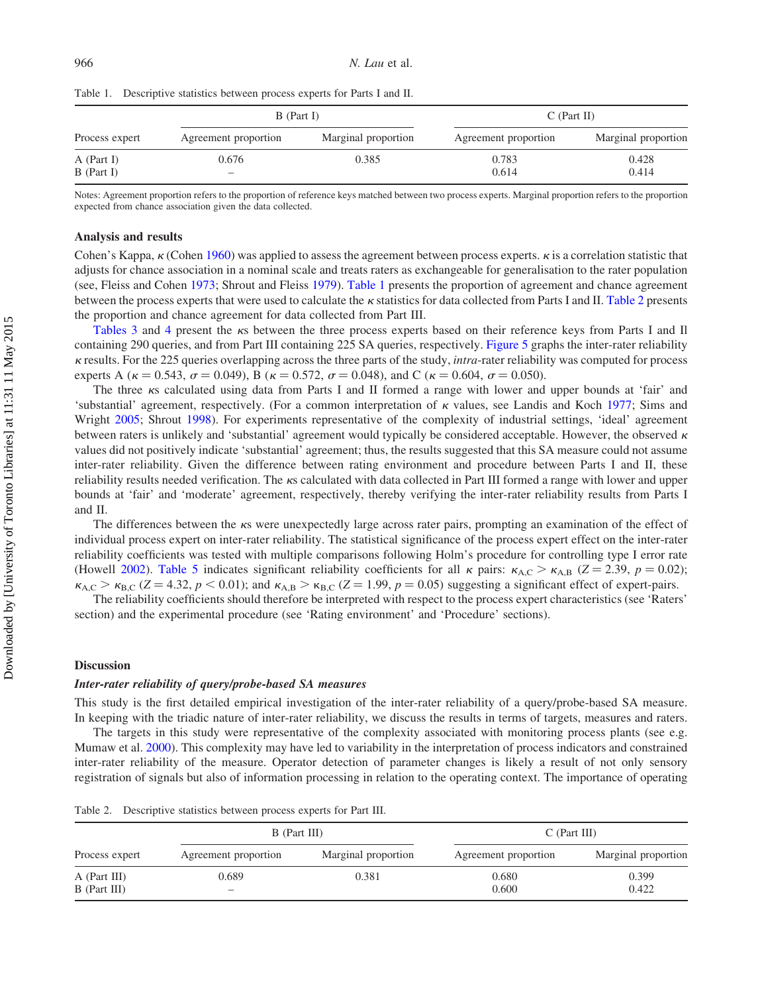Table 1. Descriptive statistics between process experts for Parts I and II.

|                              | $B$ (Part I)         |                     | $C$ (Part II)        |                     |  |
|------------------------------|----------------------|---------------------|----------------------|---------------------|--|
| Process expert               | Agreement proportion | Marginal proportion | Agreement proportion | Marginal proportion |  |
| $A$ (Part I)<br>$B$ (Part I) | 0.676<br>—           | 0.385               | 0.783<br>0.614       | 0.428<br>0.414      |  |

Notes: Agreement proportion refers to the proportion of reference keys matched between two process experts. Marginal proportion refers to the proportion expected from chance association given the data collected.

## Analysis and results

Cohen's Kappa,  $\kappa$  (Cohen 1960) was applied to assess the agreement between process experts.  $\kappa$  is a correlation statistic that adjusts for chance association in a nominal scale and treats raters as exchangeable for generalisation to the rater population (see, Fleiss and Cohen 1973; Shrout and Fleiss 1979). Table 1 presents the proportion of agreement and chance agreement between the process experts that were used to calculate the  $\kappa$  statistics for data collected from Parts I and II. Table 2 presents the proportion and chance agreement for data collected from Part III.

Tables 3 and 4 present the ks between the three process experts based on their reference keys from Parts I and II containing 290 queries, and from Part III containing 225 SA queries, respectively. Figure 5 graphs the inter-rater reliability  $\kappa$  results. For the 225 queries overlapping across the three parts of the study, *intra*-rater reliability was computed for process experts A ( $\kappa = 0.543$ ,  $\sigma = 0.049$ ), B ( $\kappa = 0.572$ ,  $\sigma = 0.048$ ), and C ( $\kappa = 0.604$ ,  $\sigma = 0.050$ ).

The three <sup>k</sup>s calculated using data from Parts I and II formed a range with lower and upper bounds at 'fair' and 'substantial' agreement, respectively. (For a common interpretation of  $\kappa$  values, see Landis and Koch 1977; Sims and Wright 2005; Shrout 1998). For experiments representative of the complexity of industrial settings, 'ideal' agreement between raters is unlikely and 'substantial' agreement would typically be considered acceptable. However, the observed  $\kappa$ values did not positively indicate 'substantial' agreement; thus, the results suggested that this SA measure could not assume inter-rater reliability. Given the difference between rating environment and procedure between Parts I and II, these reliability results needed verification. The <sup>k</sup>s calculated with data collected in Part III formed a range with lower and upper bounds at 'fair' and 'moderate' agreement, respectively, thereby verifying the inter-rater reliability results from Parts I and II.

The differences between the ks were unexpectedly large across rater pairs, prompting an examination of the effect of individual process expert on inter-rater reliability. The statistical significance of the process expert effect on the inter-rater reliability coefficients was tested with multiple comparisons following Holm's procedure for controlling type I error rate (Howell 2002). Table 5 indicates significant reliability coefficients for all  $\kappa$  pairs:  $\kappa_{A,C} > \kappa_{A,B}$  (Z = 2.39, p = 0.02);  $\kappa_{A,C} > \kappa_{B,C}$  (Z = 4.32, p < 0.01); and  $\kappa_{A,B} > \kappa_{B,C}$  (Z = 1.99, p = 0.05) suggesting a significant effect of expert-pairs.

The reliability coefficients should therefore be interpreted with respect to the process expert characteristics (see 'Raters' section) and the experimental procedure (see 'Rating environment' and 'Procedure' sections).

#### **Discussion**

## Inter-rater reliability of query/probe-based SA measures

This study is the first detailed empirical investigation of the inter-rater reliability of a query/probe-based SA measure. In keeping with the triadic nature of inter-rater reliability, we discuss the results in terms of targets, measures and raters.

The targets in this study were representative of the complexity associated with monitoring process plants (see e.g. Mumaw et al. 2000). This complexity may have led to variability in the interpretation of process indicators and constrained inter-rater reliability of the measure. Operator detection of parameter changes is likely a result of not only sensory registration of signals but also of information processing in relation to the operating context. The importance of operating

Table 2. Descriptive statistics between process experts for Part III.

|                                | B (Part III)         |                     | $C$ (Part III)       |                     |  |
|--------------------------------|----------------------|---------------------|----------------------|---------------------|--|
| Process expert                 | Agreement proportion | Marginal proportion | Agreement proportion | Marginal proportion |  |
| $A$ (Part III)<br>B (Part III) | 0.689                | 0.381               | 0.680<br>0.600       | 0.399<br>0.422      |  |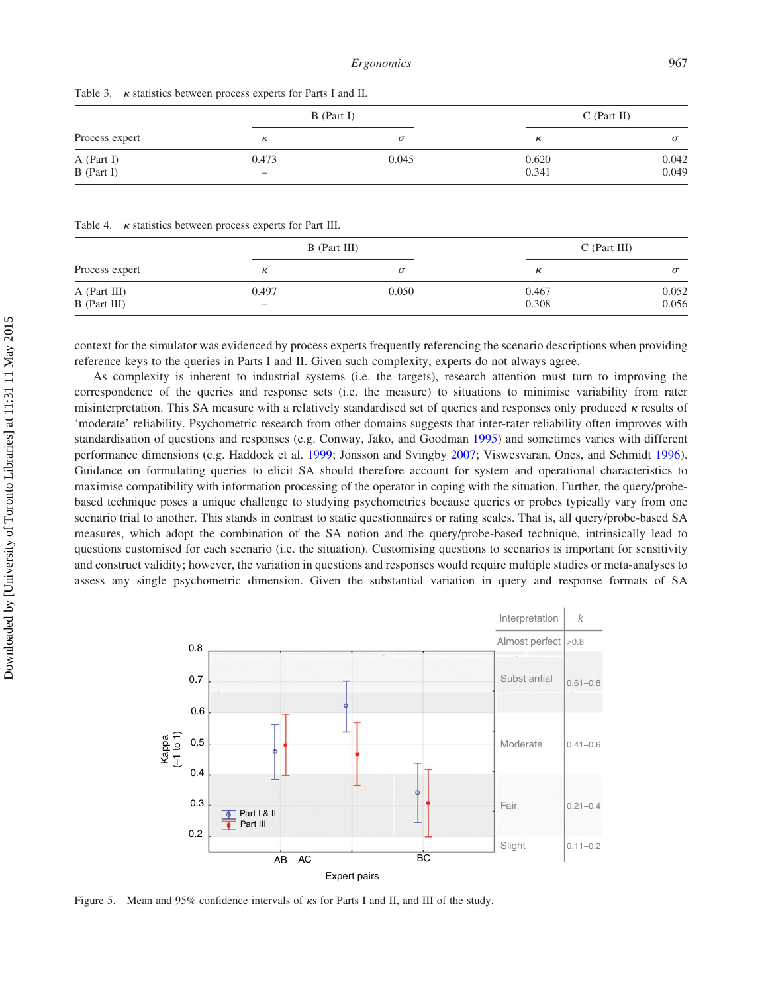|  | Table 3. $\kappa$ statistics between process experts for Parts I and II. |
|--|--------------------------------------------------------------------------|
|--|--------------------------------------------------------------------------|

|                              | $B$ (Part I)                      |          |                | $C$ (Part II)  |  |
|------------------------------|-----------------------------------|----------|----------------|----------------|--|
| Process expert               | к                                 | $\sigma$ | к              |                |  |
| $A$ (Part I)<br>$B$ (Part I) | 0.473<br>$\overline{\phantom{0}}$ | 0.045    | 0.620<br>0.341 | 0.042<br>0.049 |  |

#### Table 4.  $\kappa$  statistics between process experts for Part III.

|                                | $B$ (Part III) |          | $C$ (Part III) |                |
|--------------------------------|----------------|----------|----------------|----------------|
| Process expert                 | к              | $\sigma$ | к              |                |
| $A$ (Part III)<br>B (Part III) | 0.497<br>-     | 0.050    | 0.467<br>0.308 | 0.052<br>0.056 |

context for the simulator was evidenced by process experts frequently referencing the scenario descriptions when providing reference keys to the queries in Parts I and II. Given such complexity, experts do not always agree.

As complexity is inherent to industrial systems (i.e. the targets), research attention must turn to improving the correspondence of the queries and response sets (i.e. the measure) to situations to minimise variability from rater misinterpretation. This SA measure with a relatively standardised set of queries and responses only produced  $\kappa$  results of 'moderate' reliability. Psychometric research from other domains suggests that inter-rater reliability often improves with standardisation of questions and responses (e.g. Conway, Jako, and Goodman 1995) and sometimes varies with different performance dimensions (e.g. Haddock et al. 1999; Jonsson and Svingby 2007; Viswesvaran, Ones, and Schmidt 1996). Guidance on formulating queries to elicit SA should therefore account for system and operational characteristics to maximise compatibility with information processing of the operator in coping with the situation. Further, the query/probebased technique poses a unique challenge to studying psychometrics because queries or probes typically vary from one scenario trial to another. This stands in contrast to static questionnaires or rating scales. That is, all query/probe-based SA measures, which adopt the combination of the SA notion and the query/probe-based technique, intrinsically lead to questions customised for each scenario (i.e. the situation). Customising questions to scenarios is important for sensitivity and construct validity; however, the variation in questions and responses would require multiple studies or meta-analyses to assess any single psychometric dimension. Given the substantial variation in query and response formats of SA



Figure 5. Mean and 95% confidence intervals of  $\kappa s$  for Parts I and II, and III of the study.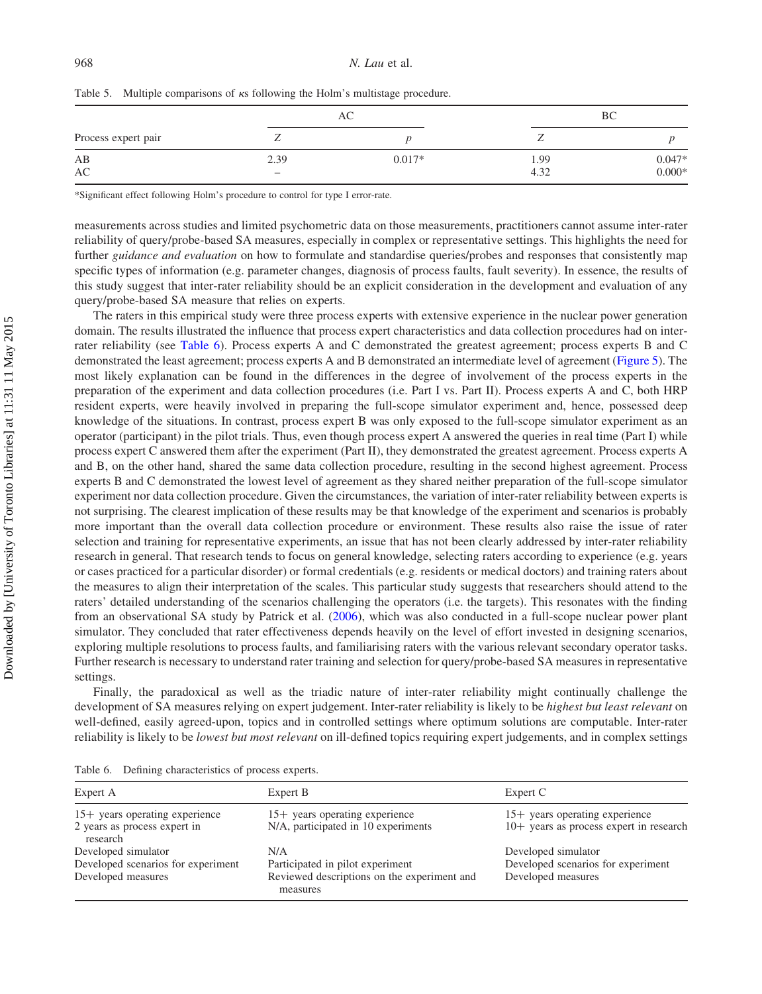|                     | ັ                                | $\sim$ 1 |              |                      |  |    |
|---------------------|----------------------------------|----------|--------------|----------------------|--|----|
|                     | AC                               |          |              |                      |  | BC |
| Process expert pair |                                  |          |              |                      |  |    |
| AΒ<br>AC            | 2.39<br>$\overline{\phantom{0}}$ | $0.017*$ | 1.99<br>4.32 | $0.047*$<br>$0.000*$ |  |    |

Table 5. Multiple comparisons of  $\kappa s$  following the Holm's multistage procedure.

\*Significant effect following Holm's procedure to control for type I error-rate.

measurements across studies and limited psychometric data on those measurements, practitioners cannot assume inter-rater reliability of query/probe-based SA measures, especially in complex or representative settings. This highlights the need for further *guidance and evaluation* on how to formulate and standardise queries/probes and responses that consistently map specific types of information (e.g. parameter changes, diagnosis of process faults, fault severity). In essence, the results of this study suggest that inter-rater reliability should be an explicit consideration in the development and evaluation of any query/probe-based SA measure that relies on experts.

The raters in this empirical study were three process experts with extensive experience in the nuclear power generation domain. The results illustrated the influence that process expert characteristics and data collection procedures had on interrater reliability (see Table 6). Process experts A and C demonstrated the greatest agreement; process experts B and C demonstrated the least agreement; process experts A and B demonstrated an intermediate level of agreement (Figure 5). The most likely explanation can be found in the differences in the degree of involvement of the process experts in the preparation of the experiment and data collection procedures (i.e. Part I vs. Part II). Process experts A and C, both HRP resident experts, were heavily involved in preparing the full-scope simulator experiment and, hence, possessed deep knowledge of the situations. In contrast, process expert B was only exposed to the full-scope simulator experiment as an operator (participant) in the pilot trials. Thus, even though process expert A answered the queries in real time (Part I) while process expert C answered them after the experiment (Part II), they demonstrated the greatest agreement. Process experts A and B, on the other hand, shared the same data collection procedure, resulting in the second highest agreement. Process experts B and C demonstrated the lowest level of agreement as they shared neither preparation of the full-scope simulator experiment nor data collection procedure. Given the circumstances, the variation of inter-rater reliability between experts is not surprising. The clearest implication of these results may be that knowledge of the experiment and scenarios is probably more important than the overall data collection procedure or environment. These results also raise the issue of rater selection and training for representative experiments, an issue that has not been clearly addressed by inter-rater reliability research in general. That research tends to focus on general knowledge, selecting raters according to experience (e.g. years or cases practiced for a particular disorder) or formal credentials (e.g. residents or medical doctors) and training raters about the measures to align their interpretation of the scales. This particular study suggests that researchers should attend to the raters' detailed understanding of the scenarios challenging the operators (i.e. the targets). This resonates with the finding from an observational SA study by Patrick et al. (2006), which was also conducted in a full-scope nuclear power plant simulator. They concluded that rater effectiveness depends heavily on the level of effort invested in designing scenarios, exploring multiple resolutions to process faults, and familiarising raters with the various relevant secondary operator tasks. Further research is necessary to understand rater training and selection for query/probe-based SA measures in representative settings.

Finally, the paradoxical as well as the triadic nature of inter-rater reliability might continually challenge the development of SA measures relying on expert judgement. Inter-rater reliability is likely to be *highest but least relevant* on well-defined, easily agreed-upon, topics and in controlled settings where optimum solutions are computable. Inter-rater reliability is likely to be lowest but most relevant on ill-defined topics requiring expert judgements, and in complex settings

|  | Table 0. Defining characteristics of process experts. |  |  |
|--|-------------------------------------------------------|--|--|
|  |                                                       |  |  |

Table 6. Defining characteristics of process experts.

| Expert A                                 | Expert B                                                | Expert C                                |
|------------------------------------------|---------------------------------------------------------|-----------------------------------------|
| 15+ years operating experience           | 15+ years operating experience                          | 15+ years operating experience          |
| 2 years as process expert in<br>research | N/A, participated in 10 experiments                     | 10+ years as process expert in research |
| Developed simulator                      | N/A                                                     | Developed simulator                     |
| Developed scenarios for experiment       | Participated in pilot experiment                        | Developed scenarios for experiment      |
| Developed measures                       | Reviewed descriptions on the experiment and<br>measures | Developed measures                      |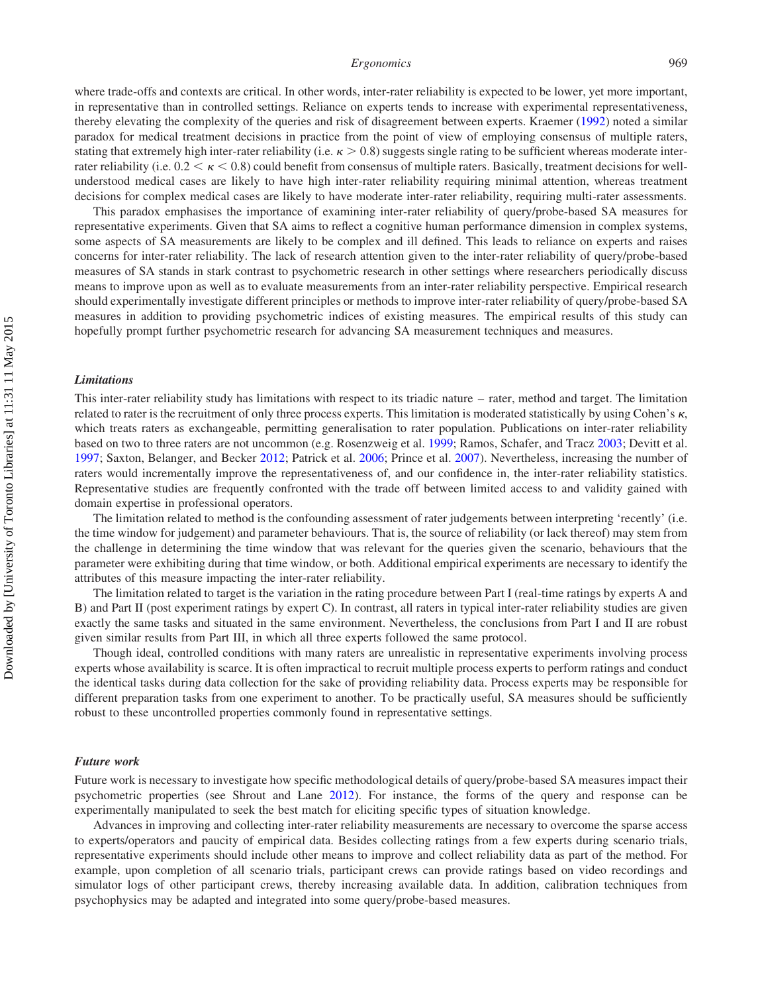### Ergonomics 969

where trade-offs and contexts are critical. In other words, inter-rater reliability is expected to be lower, yet more important, in representative than in controlled settings. Reliance on experts tends to increase with experimental representativeness, thereby elevating the complexity of the queries and risk of disagreement between experts. Kraemer (1992) noted a similar paradox for medical treatment decisions in practice from the point of view of employing consensus of multiple raters, stating that extremely high inter-rater reliability (i.e.  $\kappa > 0.8$ ) suggests single rating to be sufficient whereas moderate interrater reliability (i.e.  $0.2 < \kappa < 0.8$ ) could benefit from consensus of multiple raters. Basically, treatment decisions for wellunderstood medical cases are likely to have high inter-rater reliability requiring minimal attention, whereas treatment decisions for complex medical cases are likely to have moderate inter-rater reliability, requiring multi-rater assessments.

This paradox emphasises the importance of examining inter-rater reliability of query/probe-based SA measures for representative experiments. Given that SA aims to reflect a cognitive human performance dimension in complex systems, some aspects of SA measurements are likely to be complex and ill defined. This leads to reliance on experts and raises concerns for inter-rater reliability. The lack of research attention given to the inter-rater reliability of query/probe-based measures of SA stands in stark contrast to psychometric research in other settings where researchers periodically discuss means to improve upon as well as to evaluate measurements from an inter-rater reliability perspective. Empirical research should experimentally investigate different principles or methods to improve inter-rater reliability of query/probe-based SA measures in addition to providing psychometric indices of existing measures. The empirical results of this study can hopefully prompt further psychometric research for advancing SA measurement techniques and measures.

## Limitations

This inter-rater reliability study has limitations with respect to its triadic nature – rater, method and target. The limitation related to rater is the recruitment of only three process experts. This limitation is moderated statistically by using Cohen's  $\kappa$ , which treats raters as exchangeable, permitting generalisation to rater population. Publications on inter-rater reliability based on two to three raters are not uncommon (e.g. Rosenzweig et al. 1999; Ramos, Schafer, and Tracz 2003; Devitt et al. 1997; Saxton, Belanger, and Becker 2012; Patrick et al. 2006; Prince et al. 2007). Nevertheless, increasing the number of raters would incrementally improve the representativeness of, and our confidence in, the inter-rater reliability statistics. Representative studies are frequently confronted with the trade off between limited access to and validity gained with domain expertise in professional operators.

The limitation related to method is the confounding assessment of rater judgements between interpreting 'recently' (i.e. the time window for judgement) and parameter behaviours. That is, the source of reliability (or lack thereof) may stem from the challenge in determining the time window that was relevant for the queries given the scenario, behaviours that the parameter were exhibiting during that time window, or both. Additional empirical experiments are necessary to identify the attributes of this measure impacting the inter-rater reliability.

The limitation related to target is the variation in the rating procedure between Part I (real-time ratings by experts A and B) and Part II (post experiment ratings by expert C). In contrast, all raters in typical inter-rater reliability studies are given exactly the same tasks and situated in the same environment. Nevertheless, the conclusions from Part I and II are robust given similar results from Part III, in which all three experts followed the same protocol.

Though ideal, controlled conditions with many raters are unrealistic in representative experiments involving process experts whose availability is scarce. It is often impractical to recruit multiple process experts to perform ratings and conduct the identical tasks during data collection for the sake of providing reliability data. Process experts may be responsible for different preparation tasks from one experiment to another. To be practically useful, SA measures should be sufficiently robust to these uncontrolled properties commonly found in representative settings.

### Future work

Future work is necessary to investigate how specific methodological details of query/probe-based SA measures impact their psychometric properties (see Shrout and Lane 2012). For instance, the forms of the query and response can be experimentally manipulated to seek the best match for eliciting specific types of situation knowledge.

Advances in improving and collecting inter-rater reliability measurements are necessary to overcome the sparse access to experts/operators and paucity of empirical data. Besides collecting ratings from a few experts during scenario trials, representative experiments should include other means to improve and collect reliability data as part of the method. For example, upon completion of all scenario trials, participant crews can provide ratings based on video recordings and simulator logs of other participant crews, thereby increasing available data. In addition, calibration techniques from psychophysics may be adapted and integrated into some query/probe-based measures.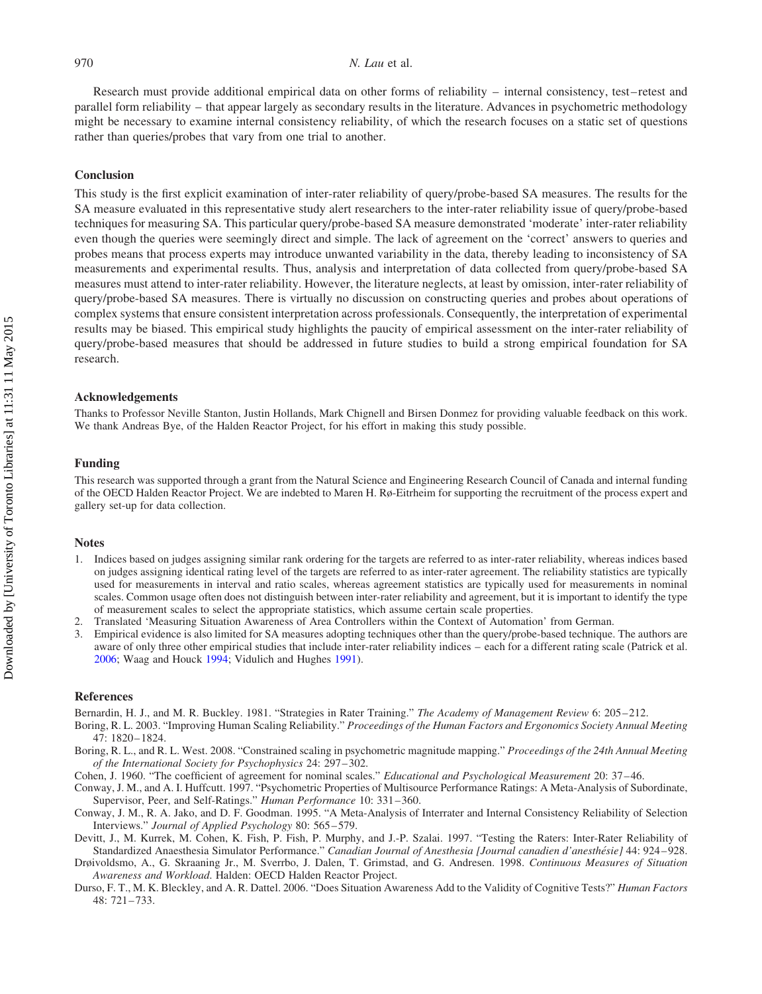Research must provide additional empirical data on other forms of reliability – internal consistency, test–retest and parallel form reliability – that appear largely as secondary results in the literature. Advances in psychometric methodology might be necessary to examine internal consistency reliability, of which the research focuses on a static set of questions rather than queries/probes that vary from one trial to another.

## **Conclusion**

This study is the first explicit examination of inter-rater reliability of query/probe-based SA measures. The results for the SA measure evaluated in this representative study alert researchers to the inter-rater reliability issue of query/probe-based techniques for measuring SA. This particular query/probe-based SA measure demonstrated 'moderate' inter-rater reliability even though the queries were seemingly direct and simple. The lack of agreement on the 'correct' answers to queries and probes means that process experts may introduce unwanted variability in the data, thereby leading to inconsistency of SA measurements and experimental results. Thus, analysis and interpretation of data collected from query/probe-based SA measures must attend to inter-rater reliability. However, the literature neglects, at least by omission, inter-rater reliability of query/probe-based SA measures. There is virtually no discussion on constructing queries and probes about operations of complex systems that ensure consistent interpretation across professionals. Consequently, the interpretation of experimental results may be biased. This empirical study highlights the paucity of empirical assessment on the inter-rater reliability of query/probe-based measures that should be addressed in future studies to build a strong empirical foundation for SA research.

### Acknowledgements

Thanks to Professor Neville Stanton, Justin Hollands, Mark Chignell and Birsen Donmez for providing valuable feedback on this work. We thank Andreas Bye, of the Halden Reactor Project, for his effort in making this study possible.

## Funding

This research was supported through a grant from the Natural Science and Engineering Research Council of Canada and internal funding of the OECD Halden Reactor Project. We are indebted to Maren H. Rø-Eitrheim for supporting the recruitment of the process expert and gallery set-up for data collection.

### Notes

- 1. Indices based on judges assigning similar rank ordering for the targets are referred to as inter-rater reliability, whereas indices based on judges assigning identical rating level of the targets are referred to as inter-rater agreement. The reliability statistics are typically used for measurements in interval and ratio scales, whereas agreement statistics are typically used for measurements in nominal scales. Common usage often does not distinguish between inter-rater reliability and agreement, but it is important to identify the type of measurement scales to select the appropriate statistics, which assume certain scale properties.
- 2. Translated 'Measuring Situation Awareness of Area Controllers within the Context of Automation' from German.
- 3. Empirical evidence is also limited for SA measures adopting techniques other than the query/probe-based technique. The authors are aware of only three other empirical studies that include inter-rater reliability indices – each for a different rating scale (Patrick et al. 2006; Waag and Houck 1994; Vidulich and Hughes 1991).

# References

Bernardin, H. J., and M. R. Buckley. 1981. "Strategies in Rater Training." The Academy of Management Review 6: 205–212.

Boring, R. L. 2003. "Improving Human Scaling Reliability." Proceedings of the Human Factors and Ergonomics Society Annual Meeting 47: 1820– 1824.

Boring, R. L., and R. L. West. 2008. "Constrained scaling in psychometric magnitude mapping." Proceedings of the 24th Annual Meeting of the International Society for Psychophysics 24: 297– 302.

Cohen, J. 1960. "The coefficient of agreement for nominal scales." Educational and Psychological Measurement 20: 37 – 46.

Conway, J. M., and A. I. Huffcutt. 1997. "Psychometric Properties of Multisource Performance Ratings: A Meta-Analysis of Subordinate, Supervisor, Peer, and Self-Ratings." Human Performance 10: 331-360.

Conway, J. M., R. A. Jako, and D. F. Goodman. 1995. "A Meta-Analysis of Interrater and Internal Consistency Reliability of Selection Interviews." Journal of Applied Psychology 80: 565-579.

Devitt, J., M. Kurrek, M. Cohen, K. Fish, P. Fish, P. Murphy, and J.-P. Szalai. 1997. "Testing the Raters: Inter-Rater Reliability of Standardized Anaesthesia Simulator Performance." Canadian Journal of Anesthesia [Journal canadien d'anesthésie] 44: 924–928.

Drøivoldsmo, A., G. Skraaning Jr., M. Sverrbo, J. Dalen, T. Grimstad, and G. Andresen. 1998. Continuous Measures of Situation Awareness and Workload. Halden: OECD Halden Reactor Project.

Durso, F. T., M. K. Bleckley, and A. R. Dattel. 2006. "Does Situation Awareness Add to the Validity of Cognitive Tests?" Human Factors 48: 721– 733.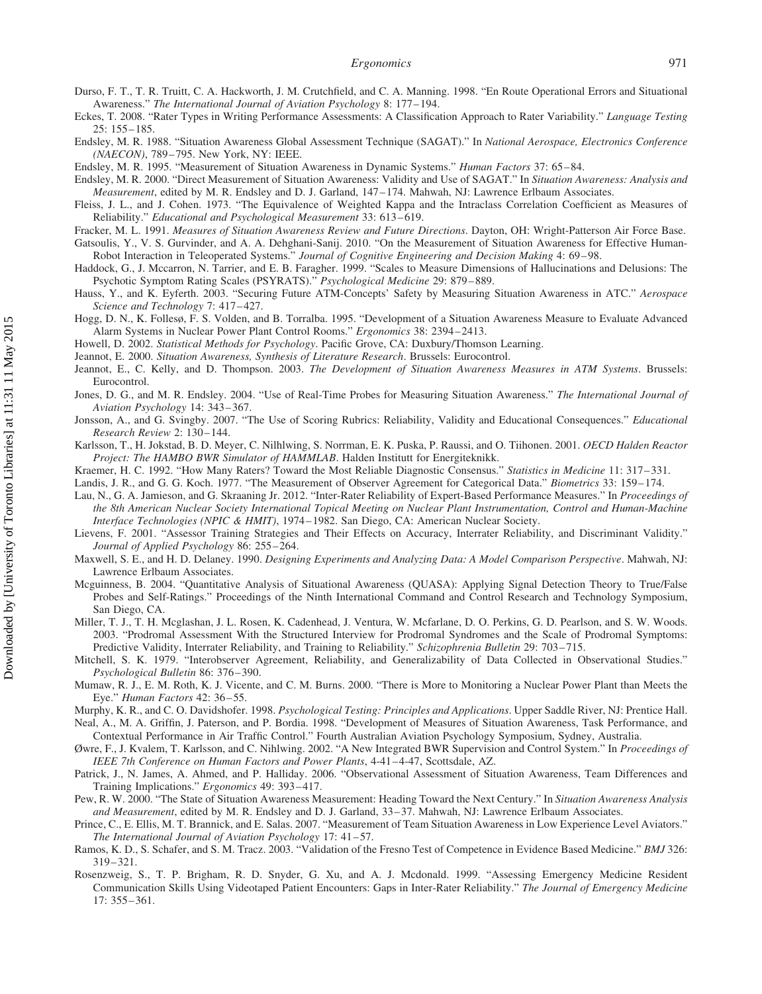- Durso, F. T., T. R. Truitt, C. A. Hackworth, J. M. Crutchfield, and C. A. Manning. 1998. "En Route Operational Errors and Situational Awareness." The International Journal of Aviation Psychology 8: 177– 194.
- Eckes, T. 2008. "Rater Types in Writing Performance Assessments: A Classification Approach to Rater Variability." Language Testing 25: 155– 185.
- Endsley, M. R. 1988. "Situation Awareness Global Assessment Technique (SAGAT)." In National Aerospace, Electronics Conference (NAECON), 789– 795. New York, NY: IEEE.
- Endsley, M. R. 1995. "Measurement of Situation Awareness in Dynamic Systems." Human Factors 37: 65 84.
- Endsley, M. R. 2000. "Direct Measurement of Situation Awareness: Validity and Use of SAGAT." In Situation Awareness: Analysis and Measurement, edited by M. R. Endsley and D. J. Garland, 147– 174. Mahwah, NJ: Lawrence Erlbaum Associates.
- Fleiss, J. L., and J. Cohen. 1973. "The Equivalence of Weighted Kappa and the Intraclass Correlation Coefficient as Measures of Reliability." Educational and Psychological Measurement 33: 613-619.
- Fracker, M. L. 1991. Measures of Situation Awareness Review and Future Directions. Dayton, OH: Wright-Patterson Air Force Base.
- Gatsoulis, Y., V. S. Gurvinder, and A. A. Dehghani-Sanij. 2010. "On the Measurement of Situation Awareness for Effective Human-Robot Interaction in Teleoperated Systems." Journal of Cognitive Engineering and Decision Making 4: 69–98.
- Haddock, G., J. Mccarron, N. Tarrier, and E. B. Faragher. 1999. "Scales to Measure Dimensions of Hallucinations and Delusions: The Psychotic Symptom Rating Scales (PSYRATS)." Psychological Medicine 29: 879– 889.
- Hauss, Y., and K. Eyferth. 2003. "Securing Future ATM-Concepts' Safety by Measuring Situation Awareness in ATC." Aerospace Science and Technology 7: 417-427.
- Hogg, D. N., K. Follesø, F. S. Volden, and B. Torralba. 1995. "Development of a Situation Awareness Measure to Evaluate Advanced Alarm Systems in Nuclear Power Plant Control Rooms." Ergonomics 38: 2394-2413.
- Howell, D. 2002. Statistical Methods for Psychology. Pacific Grove, CA: Duxbury/Thomson Learning.
- Jeannot, E. 2000. Situation Awareness, Synthesis of Literature Research. Brussels: Eurocontrol.
- Jeannot, E., C. Kelly, and D. Thompson. 2003. The Development of Situation Awareness Measures in ATM Systems. Brussels: Eurocontrol.
- Jones, D. G., and M. R. Endsley. 2004. "Use of Real-Time Probes for Measuring Situation Awareness." The International Journal of Aviation Psychology 14: 343– 367.
- Jonsson, A., and G. Svingby. 2007. "The Use of Scoring Rubrics: Reliability, Validity and Educational Consequences." *Educational* Research Review 2: 130– 144.
- Karlsson, T., H. Jokstad, B. D. Meyer, C. Nilhlwing, S. Norrman, E. K. Puska, P. Raussi, and O. Tiihonen. 2001. OECD Halden Reactor Project: The HAMBO BWR Simulator of HAMMLAB. Halden Institutt for Energiteknikk.
- Kraemer, H. C. 1992. "How Many Raters? Toward the Most Reliable Diagnostic Consensus." Statistics in Medicine 11: 317-331.
- Landis, J. R., and G. G. Koch. 1977. "The Measurement of Observer Agreement for Categorical Data." Biometrics 33: 159–174.
- Lau, N., G. A. Jamieson, and G. Skraaning Jr. 2012. "Inter-Rater Reliability of Expert-Based Performance Measures." In Proceedings of the 8th American Nuclear Society International Topical Meeting on Nuclear Plant Instrumentation, Control and Human-Machine Interface Technologies (NPIC & HMIT), 1974– 1982. San Diego, CA: American Nuclear Society.
- Lievens, F. 2001. "Assessor Training Strategies and Their Effects on Accuracy, Interrater Reliability, and Discriminant Validity." Journal of Applied Psychology 86: 255–264.
- Maxwell, S. E., and H. D. Delaney. 1990. *Designing Experiments and Analyzing Data: A Model Comparison Perspective.* Mahwah, NJ: Lawrence Erlbaum Associates.
- Mcguinness, B. 2004. "Quantitative Analysis of Situational Awareness (QUASA): Applying Signal Detection Theory to True/False Probes and Self-Ratings." Proceedings of the Ninth International Command and Control Research and Technology Symposium, San Diego, CA.
- Miller, T. J., T. H. Mcglashan, J. L. Rosen, K. Cadenhead, J. Ventura, W. Mcfarlane, D. O. Perkins, G. D. Pearlson, and S. W. Woods. 2003. "Prodromal Assessment With the Structured Interview for Prodromal Syndromes and the Scale of Prodromal Symptoms: Predictive Validity, Interrater Reliability, and Training to Reliability." Schizophrenia Bulletin 29: 703-715.
- Mitchell, S. K. 1979. "Interobserver Agreement, Reliability, and Generalizability of Data Collected in Observational Studies." Psychological Bulletin 86: 376–390.
- Mumaw, R. J., E. M. Roth, K. J. Vicente, and C. M. Burns. 2000. "There is More to Monitoring a Nuclear Power Plant than Meets the Eye." Human Factors 42: 36-55.
- Murphy, K. R., and C. O. Davidshofer. 1998. Psychological Testing: Principles and Applications. Upper Saddle River, NJ: Prentice Hall.
- Neal, A., M. A. Griffin, J. Paterson, and P. Bordia. 1998. "Development of Measures of Situation Awareness, Task Performance, and Contextual Performance in Air Traffic Control." Fourth Australian Aviation Psychology Symposium, Sydney, Australia.
- Øwre, F., J. Kvalem, T. Karlsson, and C. Nihlwing. 2002. "A New Integrated BWR Supervision and Control System." In Proceedings of IEEE 7th Conference on Human Factors and Power Plants, 4-41 –4-47, Scottsdale, AZ.
- Patrick, J., N. James, A. Ahmed, and P. Halliday. 2006. "Observational Assessment of Situation Awareness, Team Differences and Training Implications." *Ergonomics* 49: 393-417.
- Pew, R. W. 2000. "The State of Situation Awareness Measurement: Heading Toward the Next Century." In Situation Awareness Analysis and Measurement, edited by M. R. Endsley and D. J. Garland, 33–37. Mahwah, NJ: Lawrence Erlbaum Associates.
- Prince, C., E. Ellis, M. T. Brannick, and E. Salas. 2007. "Measurement of Team Situation Awareness in Low Experience Level Aviators." The International Journal of Aviation Psychology 17: 41-57.
- Ramos, K. D., S. Schafer, and S. M. Tracz. 2003. "Validation of the Fresno Test of Competence in Evidence Based Medicine." BMJ 326: 319– 321.
- Rosenzweig, S., T. P. Brigham, R. D. Snyder, G. Xu, and A. J. Mcdonald. 1999. "Assessing Emergency Medicine Resident Communication Skills Using Videotaped Patient Encounters: Gaps in Inter-Rater Reliability." The Journal of Emergency Medicine 17: 355– 361.